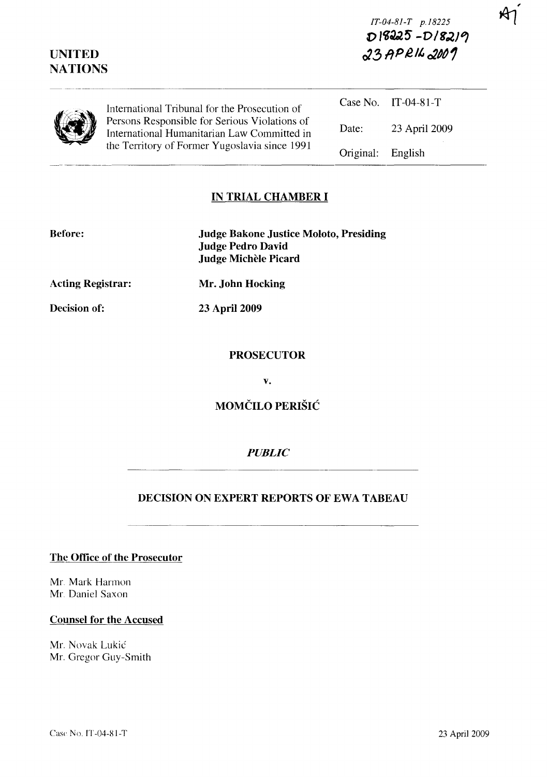| <b>UNITED</b><br><b>NATIONS</b> |                                                                                                                                               | $D$ 18225 -D18219<br>$23$ APRIL 2007 |                     |
|---------------------------------|-----------------------------------------------------------------------------------------------------------------------------------------------|--------------------------------------|---------------------|
|                                 | International Tribunal for the Prosecution of                                                                                                 |                                      | Case No. IT-04-81-T |
|                                 | Persons Responsible for Serious Violations of<br>International Humanitarian Law Committed in<br>the Territory of Former Yugoslavia since 1991 | Date:                                | 23 April 2009       |
|                                 |                                                                                                                                               | Original:                            | English             |

## **IN TRIAL CHAMBER I**

| <b>Before:</b>           | <b>Judge Bakone Justice Moloto, Presiding</b><br><b>Judge Pedro David</b><br>Judge Michèle Picard |
|--------------------------|---------------------------------------------------------------------------------------------------|
| <b>Acting Registrar:</b> | Mr. John Hocking                                                                                  |
| Decision of:             | 23 April 2009                                                                                     |

## **PROSECUTOR**

**v.** 

# **MOMCILO PERISIC**

### *PUBLIC*

### **DECISION ON EXPERT REPORTS OF EWA TABEAU**

**The Office of the Prosecutor** 

Mr. Mark Harmon Mr. Daniel Saxon

#### **Counsel for the Accused**

Mr. Novak Lukic Mr. Gregor Guy-Smith *IT-04-8I-T p.I8225*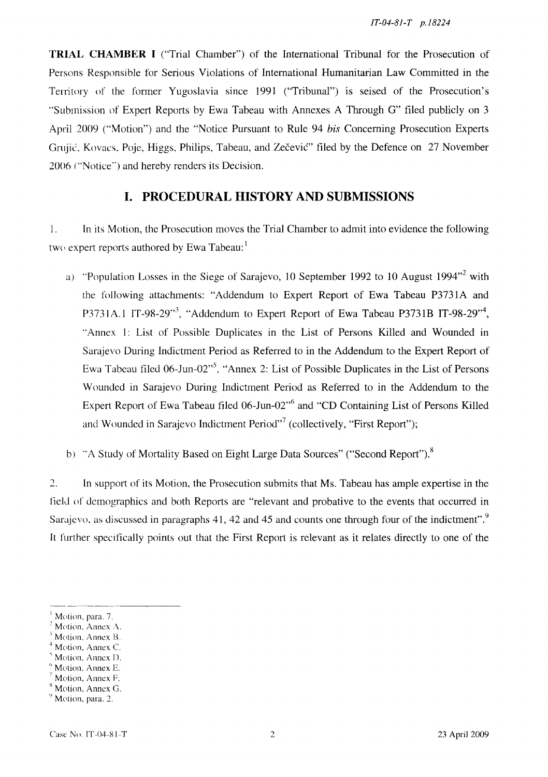**TRIAL CHAMBER I** ("Trial Chamber") of the International Tribunal for the Prosecution of Persons Responsible for Serious Violations of International Humanitarian Law Committed in the Territory of the fonner Yugoslavia since 1991 ("Tribunal") is seised of the Prosecution's "Submission of Expert Reports by Ewa Tabeau with Annexes A Through G" filed publicly on 3 April 2009 ("Motion") and the "Notice Pursuant to Rule 94 *his* Concerning Prosecution Experts Grujić, Kovacs, Poje, Higgs, Philips, Tabeau, and Zečević" filed by the Defence on 27 November 2006 ("Notice") and hereby renders its Decision.

# **I. PROCEDURAL HISTORY AND SUBMISSIONS**

I. In its Motion, the Prosecution moves the Trial Chamber to admit into evidence the following two expert reports authored by Ewa Tabeau:<sup>1</sup>

- a) "Population Losses in the Siege of Sarajevo, 10 September 1992 to 10 August 1994"<sup>2</sup> with the following attachments: "Addendum to Expert Report of Ewa Tabeau P3731A and P3731A.1 IT-98-29 $^{3}$ , "Addendum to Expert Report of Ewa Tabeau P3731B IT-98-29 $^{3}$ , "Annex I: List of Possible Duplicates in the List of Persons Killed and Wounded in Sarajevo During Indictment Period as Referred to in the Addendum to the Expert Report of Ewa Tabeau filed 06-Jun-02 $^{5}$ , "Annex 2: List of Possible Duplicates in the List of Persons Wounded in Sarajevo During Indictment Period as Referred to in the Addendum to the Expert Report of Ewa Tabeau filed 06-Jun-02<sup>-6</sup> and "CD Containing List of Persons Killed and Wounded in Sarajevo Indictment Period $\overline{r}$  (collectively, "First Report");
- b) "A Study of Mortality Based on Eight Large Data Sources" ("Second Report").<sup>8</sup>

 $2.$ In support of its Motion, the Prosecution submits that Ms. Tabeau has ample expertise in the field of demographics and both Reports are "relevant and probative to the events that occurred in Sarajevo, as discussed in paragraphs 41, 42 and 45 and counts one through four of the indictment".<sup>9</sup> It further specifically points out that the First Report is relevant as it relates directly to one of the

Motion, Annex D.

<sup>&</sup>lt;sup>1</sup> Motion, para. 7.

Motion, Annex A.

<sup>\</sup> Motion. Annex B.

Motion, Annex C.

Motion, Annex E.

Motion, Annex F.

Motion, Annex G.

 $<sup>9</sup>$  Motion, para. 2.</sup>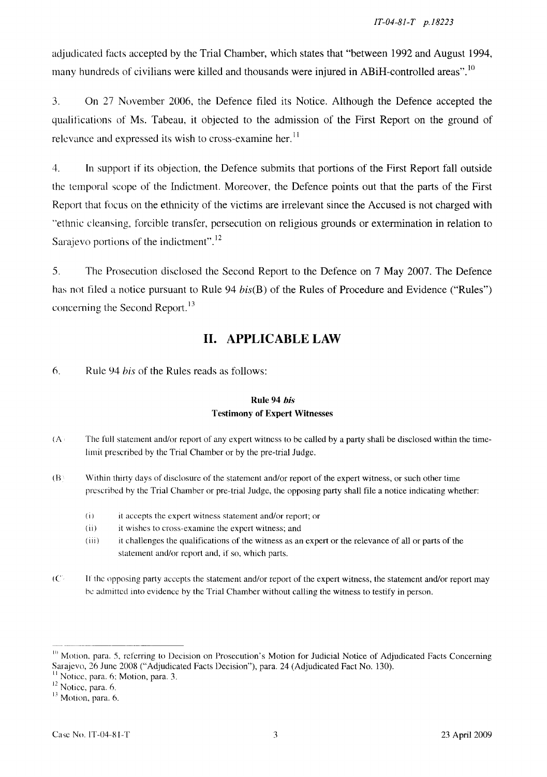adjudicated facts accepted by the Trial Chamber, which states that "between 1992 and August 1994, many hundreds of civilians were killed and thousands were injured in ABiH-controlled areas".<sup>10</sup>

3. On 27 November 2006, the Defence filed its Notice. Although the Defence accepted the qualifications of Ms. Tabeau, it objected to the admission of the First Report on the ground of relevance and expressed its wish to cross-examine her.<sup>11</sup>

4. In support if its objection, the Defence submits that portions of the First Report fall outside the temporal scope of the Indictment. Moreover, the Defence points out that the parts of the First Report that focus on the ethnicity of the victims are irrelevant since the Accused is not charged with "ethnic cleansing, forcible transfer, persecution on religious grounds or extermination in relation to Sarajevo portions of the indictment".<sup>12</sup>

5. The Prosecution disclosed the Second Report to the Defence on 7 May 2007. The Defence has not filed a notice pursuant to Rule 94  $bis(B)$  of the Rules of Procedure and Evidence ("Rules") concerning the Second Report.<sup>13</sup>

# **II. APPLICABLE LAW**

6. Rule 94 *his* of the Rules reads as follows:

### Rule 94 *bis*  Testimony of Expert Witnesses

- (A· The full statement and/or report of any expert witness to be called by a party shall be disclosed within the timelimit prescribed by the Trial Chamber or by the pre-trial Judge.
- $(B)$  Within thirty days of disclosure of the statement and/or report of the expert witness, or such other time prescribed by the Trial Chamber or pre-trial Judge, the opposing party shall file a notice indicating whether:
	- (i) it accepts the expert witness statement and/or report; or
	- (ii) it wishes to cross-examine the expert witness; and
	- (iii) it challenges the qualifications of the witness as an expert or the relevance of all or parts of the statement and/or report and, if so, which parts.
- $(C<sub>i</sub>$  If the opposing party accepts the statement and/or report of the expert witness, the statement and/or report may be admitted into evidence by the Trial Chamber without calling the witness to testify in person.

<sup>&</sup>lt;sup>10</sup> Motion, para. 5, referring to Decision on Prosecution's Motion for Judicial Notice of Adjudicated Facts Concerning Sarajevo, 26 June 2008 ("Adjudicated Facts Decision"), para. 24 (Adjudicated Fact No. 130).

<sup>&</sup>lt;sup>11</sup> Notice, para. 6; Motion, para. 3.<br><sup>12</sup> Notice, para. 6.<br><sup>13</sup> Motion, para. 6.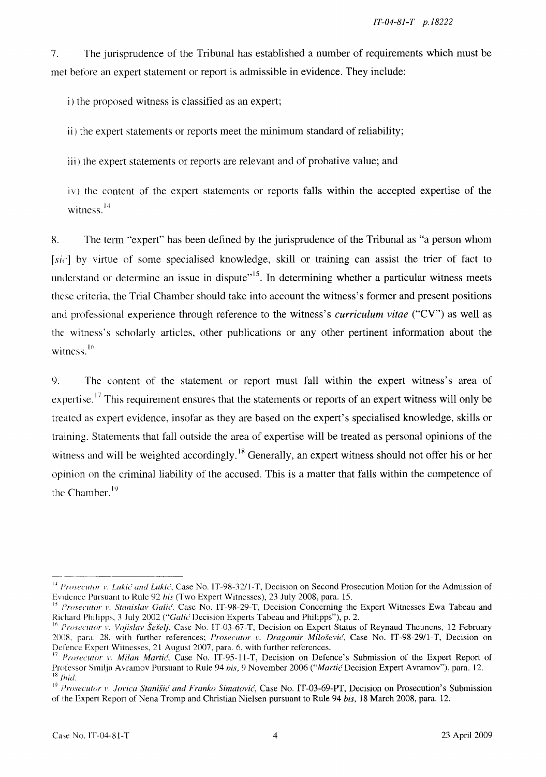7. The jurisprudence of the Tribunal has established a number of requirements which must be met before an expert statement or report is admissible in evidence. They include:

i) the proposed witness is classified as an expert;

ii) the expert statements or reports meet the minimum standard of reliability;

iii) the expert statements or reports are relevant and of probative value; and

iv) the content of the expert statements or reports falls within the accepted expertise of the witness. $14$ 

g. The term "'expert" has been defined by the jurisprudence of the Tribunal as "a person whom  $[s_i]$  by virtue of some specialised knowledge, skill or training can assist the trier of fact to understand or determine an issue in dispute<sup> $,15$ </sup>. In determining whether a particular witness meets these criteria, the Trial Chamber should take into account the witness's former and present positions and professional experience through reference to the witness's *curriculum vitae* ("CV") as well as the witness's scholarly articles, other publications or any other pertinent information about the witness.<sup>16</sup>

9. The content of the statement or report must fall within the expert witness's area of expertise.<sup>17</sup> This requirement ensures that the statements or reports of an expert witness will only be treated as expert evidence, insofar as they are based on the expert's specialised knowledge, skills or training. Statements that fall outside the area of expertise will be treated as personal opinions of the witness and will be weighted accordingly.<sup>18</sup> Generally, an expert witness should not offer his or her opinion on the criminal liability of the accused. This is a matter that falls within the competence of the Chamber.<sup>19</sup>

<sup>&</sup>lt;sup>14</sup> *Prosecutor v. Lukić and Lukić*, Case No. IT-98-32/1-T, Decision on Second Prosecution Motion for the Admission of EVidence Pursuant to Rule 92 *his* (Two Expert Witnesses), 23 July 200S, para. 15.

<sup>&</sup>lt;sup>15</sup> Prosecutor v. Stanislav Galić, Case No. IT-98-29-T, Decision Concerning the Expert Witnesses Ewa Tabeau and Richard Philipps, 3 July 2002 *("Galić Decision Experts Tabeau and Philipps")*, p. 2.

<sup>&</sup>lt;sup>16</sup> Prosecutor v. Vojislav Šešelj, Case No. IT-03-67-T, Decision on Expert Status of Reynaud Theunens, 12 February 20()S. para. 28, with further references; *Prosecutor v. Dragomir Mi/osevie',* Case No. IT-9S-29/l-T, Decision on Defence Expert Witnesses, 21 August 2007, para. 6, with further references.

<sup>&</sup>lt;sup>17</sup> Prosecutor *v*. *Milan Martić*, Case No. IT-95-11-T, Decision on Defence's Submission of the Expert Report of Professor Smilja Avramov Pursuant to Rule 94 his, 9 November 2006 *("Martic* Decision Expert Avramov"), para. 12.  $18$  *lbid.* 

<sup>10</sup>*Prosecutor* v. *jovica Stanish' and Franko Simatovic',* Case No. IT-03-69-PT, Decision on Prosecution's Submission of the Expert Report of Nena Tromp and Christian Nielsen pursuant to Rule 94 *his,* IS March 200S, para. 12.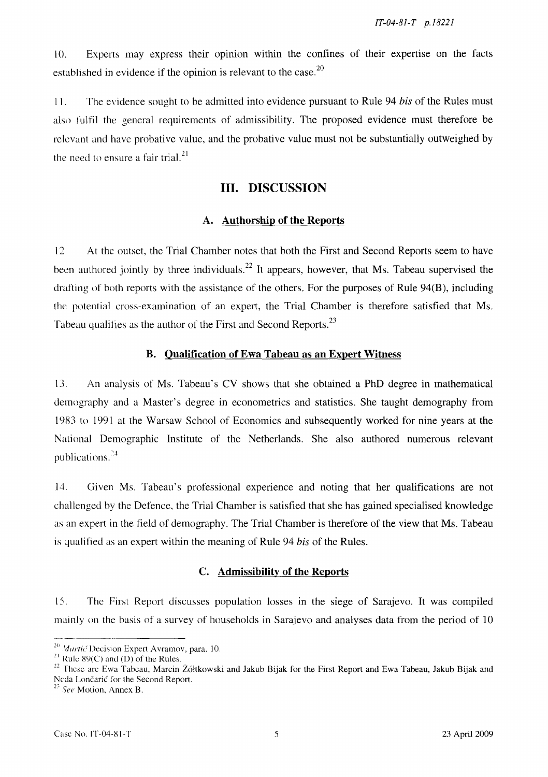10. Experts may express their OpInIOn within the confines of their expertise on the facts established in evidence if the opinion is relevant to the case.<sup>20</sup>

1 1. The evidence sought to be admitted into evidence pursuant to Rule 94 *his* of the Rules must also fulfil the general requirements of admissibility. The proposed evidence must therefore be relevant and have probative value, and the probative value must not be substantially outweighed by the need to ensure a fair trial. $^{21}$ 

## **III.** DISCUSSION

#### A. Authorship of the Reports

12 At the outset, the Trial Chamber notes that both the First and Second Reports seem to have been authored jointly by three individuals.<sup>22</sup> It appears, however, that Ms. Tabeau supervised the drafting of both reports with the assistance of the others. For the purposes of Rule 94(B), including the potential cross-examination of an expert, the Trial Chamber is therefore satisfied that Ms. Tabeau qualifies as the author of the First and Second Reports.<sup>23</sup>

#### B. Qualification of Ewa Tabeau as an Expert Witness

13. An analysis of Ms. Tabeau's CV shows that she obtained a PhD degree in mathematical demography and a Master's degree in econometrics and statistics. She taught demography from 1983 to 1991 at the Warsaw School of Economics and subsequently worked for nine years at the National Demographic Institute of the Netherlands. She also authored numerous relevant publications. $^{24}$ 

14. Given Ms. Tabeau's professional expenence and noting that her qualifications are not challenged hy the Defence, the Trial Chamber is satisfied that she has gained specialised knowledge as an expert in the field of demography. The Trial Chamber is therefore of the view that Ms. Tabeau is qualified as an expert within the meaning of Rule 94 *his* of the Rules.

#### C. Admissibility of the Reports

15. The First Report discusses population losses in the siege of Sarajevo. It was compiled mainly on the basis of a survey of households in Sarajevo and analyses data from the period of 10

<sup>&</sup>lt;sup>20</sup> Martic Decision Expert Avramov, para. 10.

<sup>&</sup>lt;sup>21</sup> Rule 89(C) and (D) of the Rules.

<sup>&</sup>lt;sup>22</sup> These are Ewa Tabeau, Marcin Żółtkowski and Jakub Bijak for the First Report and Ewa Tabeau, Jakub Bijak and Neda Lončarić for the Second Report.

 $23$  See Motion, Annex B.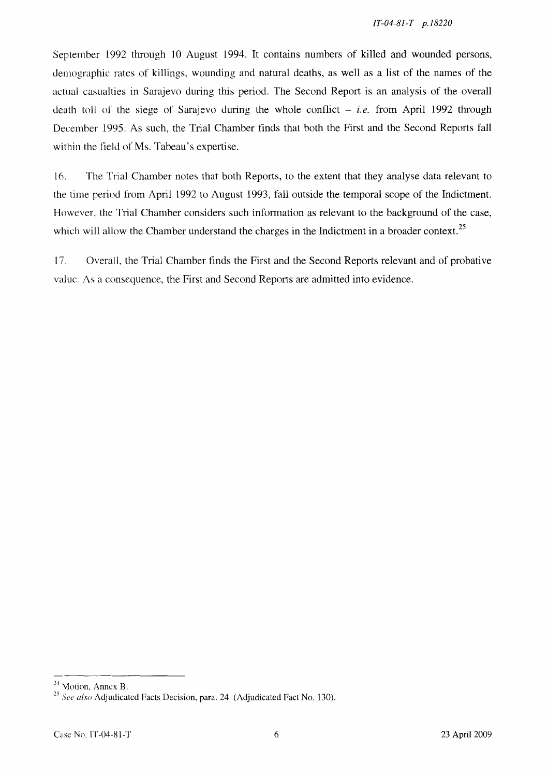September 1992 through 10 August 1994. It contains numbers of killed and wounded persons, demographic rates of killings, wounding and natural deaths, as well as a list of the names of the actual casualties in Sarajevo during this period. The Second Report is an analysis of the overall death toll of the siege of Sarajevo during the whole conflict  $- i.e.$  from April 1992 through December 1995. As such, the Trial Chamber finds that both the First and the Second Reports fall within the field of Ms. Tabeau's expertise.

16. The Trial Chamber notes that both Reports, to the extent that they analyse data relevant to the time period from April 1992 to August 1993, fall outside the temporal scope of the Indictment. However, the Trial Chamber considers such information as relevant to the background of the case, which will allow the Chamber understand the charges in the Indictment in a broader context.<sup>25</sup>

17. Overall, the Trial Chamber finds the First and the Second Reports relevant and of probative value. As a consequence, the First and Second Reports are admitted into evidence.

 $24$  Motion, Annex B.

*<sup>25</sup> See also* Adjudicated Facts Decision, para. 24 (Adjudicated Fact No. 130).